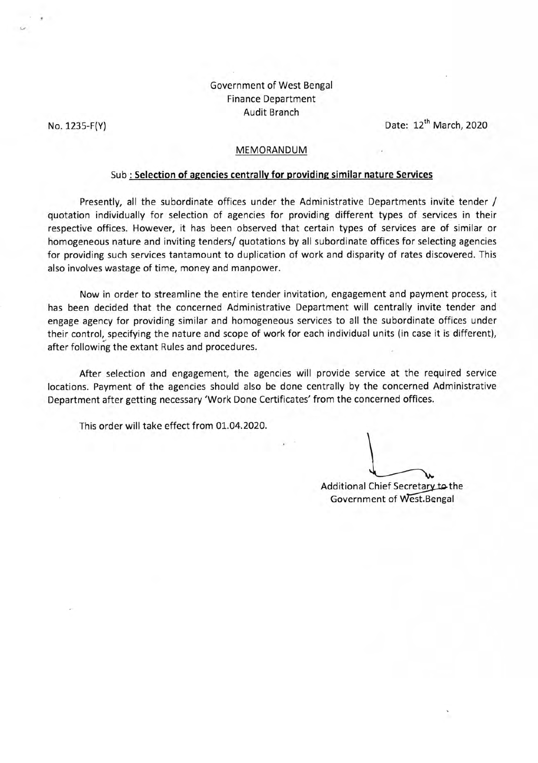## Government of West Bengal Finance Department Audit Branch

*V* 

No. 1235-F(Y) Date: 12<sup>th</sup> March, 2020

#### MEMORANDUM

### Sub : **Selection of agencies centrally for providing similar nature Services**

Presently, all the subordinate offices under the Administrative Departments invite tender / quotation individually for selection of agencies for providing different types of services in their respective offices. However, it has been observed that certain types of services are of similar or homogeneous nature and inviting tenders/ quotations by all subordinate offices for selecting agencies for providing such services tantamount to duplication of work and disparity of rates discovered. This also involves wastage of time, money and manpower.

Now in order to streamline the entire tender invitation, engagement and payment process, it has been decided that the concerned Administrative Department will centrally invite tender and engage agency for providing similar and homogeneous services to all the subordinate offices under their control, specifying the nature and scope of work for each individual units (in case it is different), after following the extant Rules and procedures.

After selection and engagement, the agencies will provide service at the required service locations. Payment of the agencies should also be done centrally by the concerned Administrative Department after getting necessary 'Work Done Certificates' from the concerned offices.

This order will take effect from 01.04.2020.

Additional Chief Secretary to the Government of West.Bengal